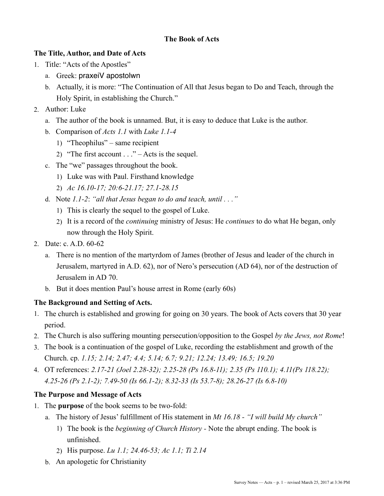### **The Book of Acts**

## **The Title, Author, and Date of Acts**

- 1. Title: "Acts of the Apostles"
	- a. Greek: praxeiV apostolwn
	- b. Actually, it is more: "The Continuation of All that Jesus began to Do and Teach, through the Holy Spirit, in establishing the Church."
- 2. Author: Luke
	- a. The author of the book is unnamed. But, it is easy to deduce that Luke is the author.
	- b. Comparison of *Acts 1.1* with *Luke 1.1-4*
		- 1) "Theophilus" same recipient
		- 2) "The first account  $\ldots$ " Acts is the sequel.
	- c. The "we" passages throughout the book.
		- 1) Luke was with Paul. Firsthand knowledge
		- 2) *Ac 16.10-17; 20:6-21.17; 27.1-28.15*
	- d. Note *1.1-2*: *"all that Jesus began to do and teach, until . . ."* 
		- 1) This is clearly the sequel to the gospel of Luke.
		- 2) It is a record of the *continuing* ministry of Jesus: He *continues* to do what He began, only now through the Holy Spirit.
- 2. Date: c. A.D. 60-62
	- a. There is no mention of the martyrdom of James (brother of Jesus and leader of the church in Jerusalem, martyred in A.D. 62), nor of Nero's persecution (AD 64), nor of the destruction of Jerusalem in AD 70.
	- b. But it does mention Paul's house arrest in Rome (early 60s)

### **The Background and Setting of Acts.**

- 1. The church is established and growing for going on 30 years. The book of Acts covers that 30 year period.
- 2. The Church is also suffering mounting persecution/opposition to the Gospel *by the Jews, not Rome*!
- 3. The book is a continuation of the gospel of Luke, recording the establishment and growth of the Church. cp. *1.15; 2.14; 2.47; 4.4; 5.14; 6.7; 9.21; 12.24; 13.49; 16.5; 19.20*
- 4. OT references: *2.17-21 (Joel 2.28-32); 2.25-28 (Ps 16.8-11); 2.35 (Ps 110.1); 4.11(Ps 118.22); 4.25-26 (Ps 2.1-2); 7.49-50 (Is 66.1-2); 8.32-33 (Is 53.7-8); 28.26-27 (Is 6.8-10)*

# **The Purpose and Message of Acts**

- 1. The **purpose** of the book seems to be two-fold:
	- a. The history of Jesus' fulfillment of His statement in *Mt 16.18 "I will build My church"*
		- 1) The book is the *beginning of Church History* Note the abrupt ending. The book is unfinished.
		- 2) His purpose. *Lu 1.1; 24.46-53; Ac 1.1; Ti 2.14*
	- b. An apologetic for Christianity